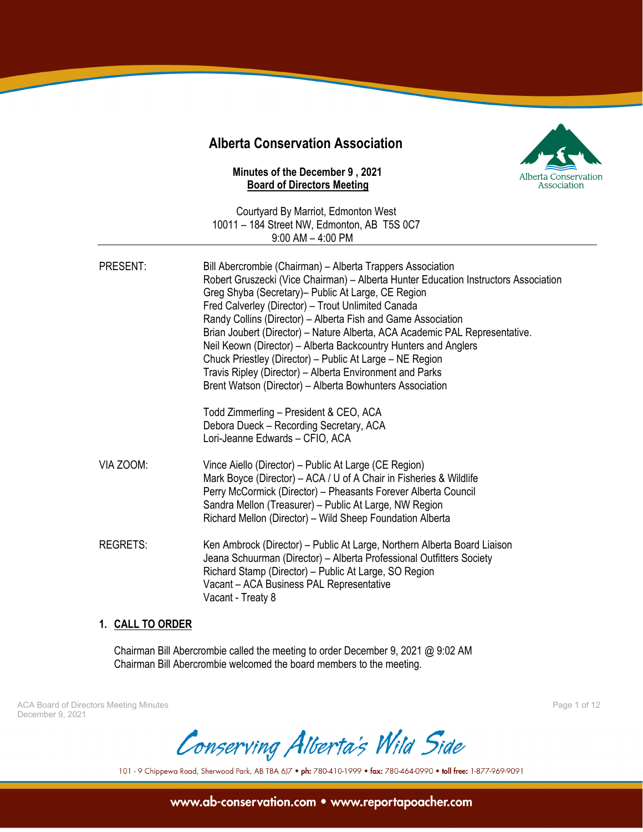# **Alberta Conservation Association**

## **Minutes of the December 9 , 2021 Board of Directors Meeting**



Courtyard By Marriot, Edmonton West 10011 – 184 Street NW, Edmonton, AB T5S 0C7 9:00 AM – 4:00 PM

| PRESENT:  | Bill Abercrombie (Chairman) – Alberta Trappers Association<br>Robert Gruszecki (Vice Chairman) – Alberta Hunter Education Instructors Association<br>Greg Shyba (Secretary) - Public At Large, CE Region<br>Fred Calverley (Director) - Trout Unlimited Canada<br>Randy Collins (Director) - Alberta Fish and Game Association<br>Brian Joubert (Director) – Nature Alberta, ACA Academic PAL Representative.<br>Neil Keown (Director) - Alberta Backcountry Hunters and Anglers<br>Chuck Priestley (Director) - Public At Large - NE Region<br>Travis Ripley (Director) - Alberta Environment and Parks<br>Brent Watson (Director) - Alberta Bowhunters Association<br>Todd Zimmerling – President & CEO, ACA<br>Debora Dueck - Recording Secretary, ACA<br>Lori-Jeanne Edwards - CFIO, ACA |
|-----------|----------------------------------------------------------------------------------------------------------------------------------------------------------------------------------------------------------------------------------------------------------------------------------------------------------------------------------------------------------------------------------------------------------------------------------------------------------------------------------------------------------------------------------------------------------------------------------------------------------------------------------------------------------------------------------------------------------------------------------------------------------------------------------------------|
| VIA ZOOM: | Vince Aiello (Director) – Public At Large (CE Region)<br>Mark Boyce (Director) – ACA / U of A Chair in Fisheries & Wildlife<br>Perry McCormick (Director) - Pheasants Forever Alberta Council<br>Sandra Mellon (Treasurer) - Public At Large, NW Region<br>Richard Mellon (Director) - Wild Sheep Foundation Alberta                                                                                                                                                                                                                                                                                                                                                                                                                                                                         |
| REGRETS:  | Ken Ambrock (Director) – Public At Large, Northern Alberta Board Liaison<br>Jeana Schuurman (Director) - Alberta Professional Outfitters Society<br>Richard Stamp (Director) - Public At Large, SO Region<br>Vacant - ACA Business PAL Representative<br>Vacant - Treaty 8                                                                                                                                                                                                                                                                                                                                                                                                                                                                                                                   |

## **1. CALL TO ORDER**

Chairman Bill Abercrombie called the meeting to order December 9, 2021 @ 9:02 AM Chairman Bill Abercrombie welcomed the board members to the meeting.

ACA Board of Directors Meeting Minutes Page 1 of 12 December 9, 2021

Conserving Alberta's Wild Side

101 - 9 Chippewa Road, Sherwood Park, AB T8A 6J7 . ph: 780-410-1999 . fax: 780-464-0990 . toll free: 1-877-969-9091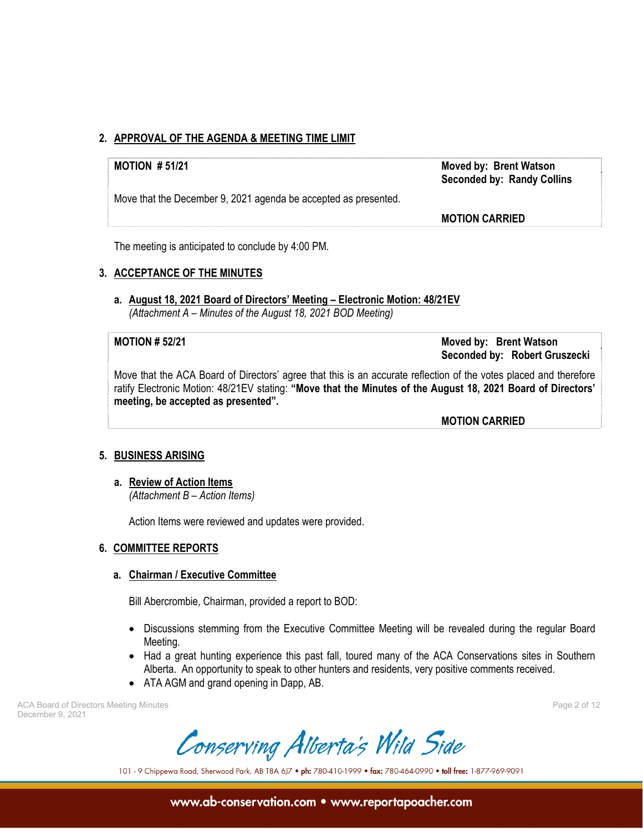## **2. APPROVAL OF THE AGENDA & MEETING TIME LIMIT**

Move that the December 9, 2021 agenda be accepted as presented.

**MOTION # 51/21 Moved by: Brent Watson Seconded by: Randy Collins** 

**MOTION CARRIED**

The meeting is anticipated to conclude by 4:00 PM.

## **3. ACCEPTANCE OF THE MINUTES**

**a. August 18, 2021 Board of Directors' Meeting – Electronic Motion: 48/21EV**   *(Attachment A – Minutes of the August 18, 2021 BOD Meeting)* 

**MOTION # 52/21 Moved by: Brent Watson Seconded by: Robert Gruszecki** 

Move that the ACA Board of Directors' agree that this is an accurate reflection of the votes placed and therefore ratify Electronic Motion: 48/21EV stating: **"Move that the Minutes of the August 18, 2021 Board of Directors' meeting, be accepted as presented".** 

 **MOTION CARRIED**

## **5. BUSINESS ARISING**

**a. Review of Action Items** 

*(Attachment B – Action Items)* 

Action Items were reviewed and updates were provided.

## **6. COMMITTEE REPORTS**

## **a. Chairman / Executive Committee**

Bill Abercrombie, Chairman, provided a report to BOD:

- Discussions stemming from the Executive Committee Meeting will be revealed during the regular Board Meeting.
- Had a great hunting experience this past fall, toured many of the ACA Conservations sites in Southern Alberta. An opportunity to speak to other hunters and residents, very positive comments received.
- ATA AGM and grand opening in Dapp, AB.

ACA Board of Directors Meeting Minutes Page 2 of 12 December 9, 2021

Conserving Alberta's Wild Side

101 - 9 Chippewa Road, Sherwood Park, AB T8A 6J7 . ph: 780-410-1999 . fax: 780-464-0990 . toll free: 1-877-969-9091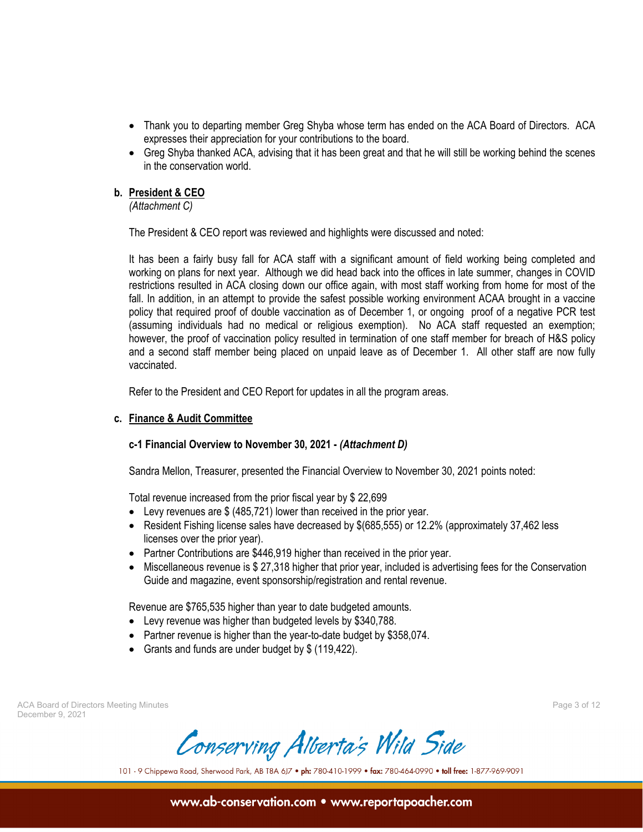- Thank you to departing member Greg Shyba whose term has ended on the ACA Board of Directors. ACA expresses their appreciation for your contributions to the board.
- Greg Shyba thanked ACA, advising that it has been great and that he will still be working behind the scenes in the conservation world.

## **b. President & CEO**

*(Attachment C)* 

The President & CEO report was reviewed and highlights were discussed and noted:

It has been a fairly busy fall for ACA staff with a significant amount of field working being completed and working on plans for next year. Although we did head back into the offices in late summer, changes in COVID restrictions resulted in ACA closing down our office again, with most staff working from home for most of the fall. In addition, in an attempt to provide the safest possible working environment ACAA brought in a vaccine policy that required proof of double vaccination as of December 1, or ongoing proof of a negative PCR test (assuming individuals had no medical or religious exemption). No ACA staff requested an exemption; however, the proof of vaccination policy resulted in termination of one staff member for breach of H&S policy and a second staff member being placed on unpaid leave as of December 1. All other staff are now fully vaccinated.

Refer to the President and CEO Report for updates in all the program areas.

## **c. Finance & Audit Committee**

## **c-1 Financial Overview to November 30, 2021 -** *(Attachment D)*

Sandra Mellon, Treasurer, presented the Financial Overview to November 30, 2021 points noted:

Total revenue increased from the prior fiscal year by \$ 22,699

- Levy revenues are \$ (485,721) lower than received in the prior year.
- Resident Fishing license sales have decreased by \$(685,555) or 12.2% (approximately 37,462 less licenses over the prior year).
- Partner Contributions are \$446,919 higher than received in the prior year.
- Miscellaneous revenue is \$ 27,318 higher that prior year, included is advertising fees for the Conservation Guide and magazine, event sponsorship/registration and rental revenue.

Revenue are \$765,535 higher than year to date budgeted amounts.

- Levy revenue was higher than budgeted levels by \$340,788.
- Partner revenue is higher than the year-to-date budget by \$358,074.
- Grants and funds are under budget by \$ (119,422).

ACA Board of Directors Meeting Minutes Page 3 of 12 December 9, 2021

Conserving Alberta's Wild Side

101 - 9 Chippewa Road, Sherwood Park, AB T8A 6J7 . ph: 780-410-1999 . fax: 780-464-0990 . toll free: 1-877-969-9091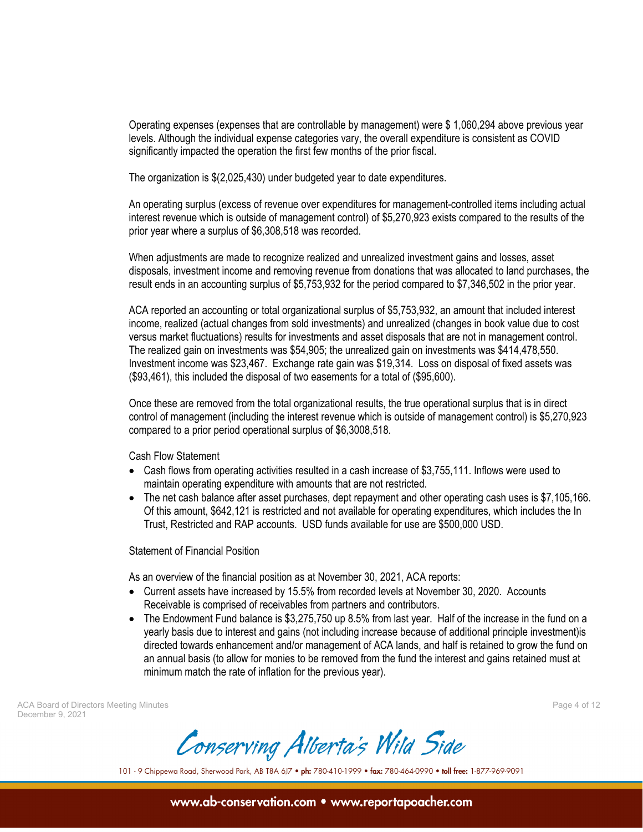Operating expenses (expenses that are controllable by management) were \$ 1,060,294 above previous year levels. Although the individual expense categories vary, the overall expenditure is consistent as COVID significantly impacted the operation the first few months of the prior fiscal.

The organization is \$(2,025,430) under budgeted year to date expenditures.

An operating surplus (excess of revenue over expenditures for management-controlled items including actual interest revenue which is outside of management control) of \$5,270,923 exists compared to the results of the prior year where a surplus of \$6,308,518 was recorded.

When adjustments are made to recognize realized and unrealized investment gains and losses, asset disposals, investment income and removing revenue from donations that was allocated to land purchases, the result ends in an accounting surplus of \$5,753,932 for the period compared to \$7,346,502 in the prior year.

ACA reported an accounting or total organizational surplus of \$5,753,932, an amount that included interest income, realized (actual changes from sold investments) and unrealized (changes in book value due to cost versus market fluctuations) results for investments and asset disposals that are not in management control. The realized gain on investments was \$54,905; the unrealized gain on investments was \$414,478,550. Investment income was \$23,467. Exchange rate gain was \$19,314. Loss on disposal of fixed assets was (\$93,461), this included the disposal of two easements for a total of (\$95,600).

Once these are removed from the total organizational results, the true operational surplus that is in direct control of management (including the interest revenue which is outside of management control) is \$5,270,923 compared to a prior period operational surplus of \$6,3008,518.

Cash Flow Statement

- Cash flows from operating activities resulted in a cash increase of \$3,755,111. Inflows were used to maintain operating expenditure with amounts that are not restricted.
- The net cash balance after asset purchases, dept repayment and other operating cash uses is \$7,105,166. Of this amount, \$642,121 is restricted and not available for operating expenditures, which includes the In Trust, Restricted and RAP accounts. USD funds available for use are \$500,000 USD.

Statement of Financial Position

As an overview of the financial position as at November 30, 2021, ACA reports:

- Current assets have increased by 15.5% from recorded levels at November 30, 2020. Accounts Receivable is comprised of receivables from partners and contributors.
- The Endowment Fund balance is \$3,275,750 up 8.5% from last year. Half of the increase in the fund on a yearly basis due to interest and gains (not including increase because of additional principle investment)is directed towards enhancement and/or management of ACA lands, and half is retained to grow the fund on an annual basis (to allow for monies to be removed from the fund the interest and gains retained must at minimum match the rate of inflation for the previous year).

ACA Board of Directors Meeting Minutes Page 4 of 12 December 9, 2021

Conserving Alberta's Wild Side

101 - 9 Chippewa Road, Sherwood Park, AB T8A 6J7 . ph: 780-410-1999 . fax: 780-464-0990 . toll free: 1-877-969-9091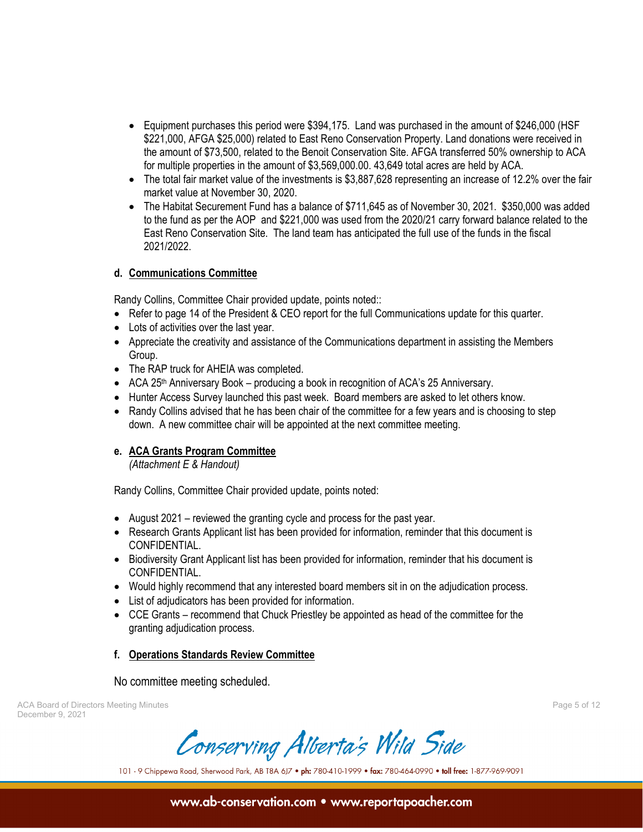- Equipment purchases this period were \$394,175. Land was purchased in the amount of \$246,000 (HSF \$221,000, AFGA \$25,000) related to East Reno Conservation Property. Land donations were received in the amount of \$73,500, related to the Benoit Conservation Site. AFGA transferred 50% ownership to ACA for multiple properties in the amount of \$3,569,000.00. 43,649 total acres are held by ACA.
- The total fair market value of the investments is \$3,887,628 representing an increase of 12.2% over the fair market value at November 30, 2020.
- The Habitat Securement Fund has a balance of \$711,645 as of November 30, 2021. \$350,000 was added to the fund as per the AOP and \$221,000 was used from the 2020/21 carry forward balance related to the East Reno Conservation Site. The land team has anticipated the full use of the funds in the fiscal 2021/2022.

## **d. Communications Committee**

Randy Collins, Committee Chair provided update, points noted::

- Refer to page 14 of the President & CEO report for the full Communications update for this quarter.
- Lots of activities over the last year.
- Appreciate the creativity and assistance of the Communications department in assisting the Members Group.
- The RAP truck for AHEIA was completed.
- ACA 25<sup>th</sup> Anniversary Book producing a book in recognition of ACA's 25 Anniversary.
- Hunter Access Survey launched this past week. Board members are asked to let others know.
- Randy Collins advised that he has been chair of the committee for a few years and is choosing to step down. A new committee chair will be appointed at the next committee meeting.

## **e. ACA Grants Program Committee**

*(Attachment E & Handout)* 

Randy Collins, Committee Chair provided update, points noted:

- August 2021 reviewed the granting cycle and process for the past year.
- Research Grants Applicant list has been provided for information, reminder that this document is CONFIDENTIAL.
- Biodiversity Grant Applicant list has been provided for information, reminder that his document is CONFIDENTIAL.
- Would highly recommend that any interested board members sit in on the adjudication process.
- List of adjudicators has been provided for information.
- CCE Grants recommend that Chuck Priestley be appointed as head of the committee for the granting adjudication process.

## **f. Operations Standards Review Committee**

No committee meeting scheduled.

ACA Board of Directors Meeting Minutes Page 5 of 12 December 9, 2021

Conserving Alberta's Wild Side

101 - 9 Chippewa Road, Sherwood Park, AB T8A 6J7 . ph: 780-410-1999 . fax: 780-464-0990 . toll free: 1-877-969-9091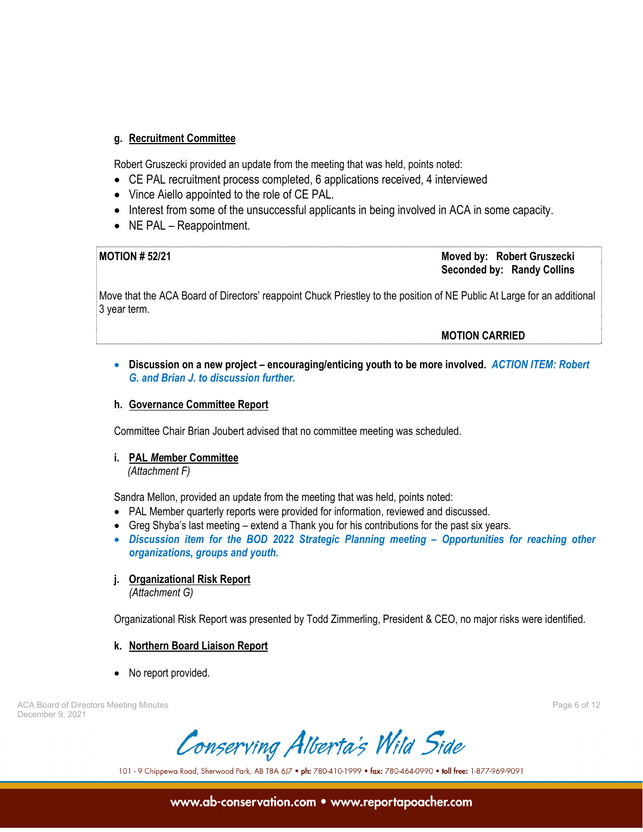## **g. Recruitment Committee**

Robert Gruszecki provided an update from the meeting that was held, points noted:

- CE PAL recruitment process completed, 6 applications received, 4 interviewed
- Vince Aiello appointed to the role of CE PAL.
- Interest from some of the unsuccessful applicants in being involved in ACA in some capacity.
- NE PAL Reappointment.

**MOTION # 52/21 Moved by: Robert Gruszecki Seconded by: Randy Collins** 

Move that the ACA Board of Directors' reappoint Chuck Priestley to the position of NE Public At Large for an additional 3 year term.

 **MOTION CARRIED** 

 **Discussion on a new project – encouraging/enticing youth to be more involved.** *ACTION ITEM: Robert G. and Brian J. to discussion further.* 

## **h. Governance Committee Report**

Committee Chair Brian Joubert advised that no committee meeting was scheduled.

## **i. PAL** *Me***mber Committee**

*(Attachment F)* 

Sandra Mellon, provided an update from the meeting that was held, points noted:

- PAL Member quarterly reports were provided for information, reviewed and discussed.
- Greg Shyba's last meeting extend a Thank you for his contributions for the past six years.
- *Discussion item for the BOD 2022 Strategic Planning meeting Opportunities for reaching other organizations, groups and youth.*

## **j. Organizational Risk Report**

 *(Attachment G)* 

Organizational Risk Report was presented by Todd Zimmerling, President & CEO, no major risks were identified.

## **k. Northern Board Liaison Report**

• No report provided.

ACA Board of Directors Meeting Minutes Page 6 of 12 December 9, 2021

Conserving Alberta's Wild Side

101 - 9 Chippewa Road, Sherwood Park, AB T8A 6J7 . ph: 780-410-1999 . fax: 780-464-0990 . toll free: 1-877-969-9091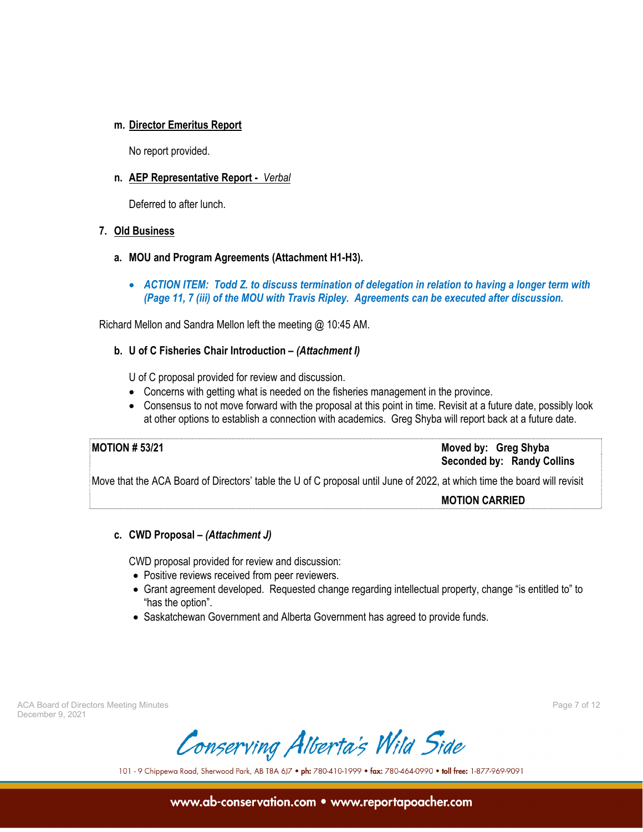## **m. Director Emeritus Report**

No report provided.

## **n. AEP Representative Report -** *Verbal*

Deferred to after lunch.

## **7. Old Business**

- **a. MOU and Program Agreements (Attachment H1-H3).** 
	- *ACTION ITEM: Todd Z. to discuss termination of delegation in relation to having a longer term with (Page 11, 7 (iii) of the MOU with Travis Ripley. Agreements can be executed after discussion.*

Richard Mellon and Sandra Mellon left the meeting @ 10:45 AM.

## **b. U of C Fisheries Chair Introduction –** *(Attachment I)*

U of C proposal provided for review and discussion.

- Concerns with getting what is needed on the fisheries management in the province.
- Consensus to not move forward with the proposal at this point in time. Revisit at a future date, possibly look at other options to establish a connection with academics. Greg Shyba will report back at a future date.

**MOTION # 53/21 Moved by: Greg Shyba Seconded by: Randy Collins** 

Move that the ACA Board of Directors' table the U of C proposal until June of 2022, at which time the board will revisit

 **MOTION CARRIED**

## **c. CWD Proposal –** *(Attachment J)*

CWD proposal provided for review and discussion:

- Positive reviews received from peer reviewers.
- Grant agreement developed. Requested change regarding intellectual property, change "is entitled to" to "has the option".
- Saskatchewan Government and Alberta Government has agreed to provide funds.

ACA Board of Directors Meeting Minutes Page 7 of 12 December 9, 2021

Conserving Alberta's Wild Side

101 - 9 Chippewa Road, Sherwood Park, AB T8A 6J7 . ph: 780-410-1999 . fax: 780-464-0990 . toll free: 1-877-969-9091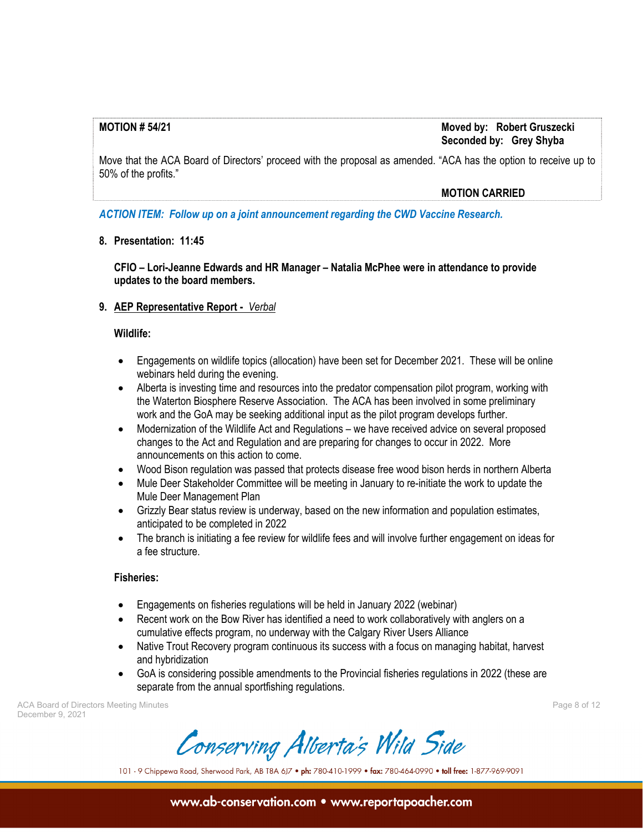## **MOTION # 54/21 Moved by: Robert Gruszecki Seconded by: Grey Shyba**

Move that the ACA Board of Directors' proceed with the proposal as amended. "ACA has the option to receive up to 50% of the profits."

#### **MOTION CARRIED**

*ACTION ITEM: Follow up on a joint announcement regarding the CWD Vaccine Research.* 

## **8. Presentation: 11:45**

 **CFIO – Lori-Jeanne Edwards and HR Manager – Natalia McPhee were in attendance to provide updates to the board members.** 

## **9. AEP Representative Report -** *Verbal*

#### **Wildlife:**

- Engagements on wildlife topics (allocation) have been set for December 2021. These will be online webinars held during the evening.
- Alberta is investing time and resources into the predator compensation pilot program, working with the Waterton Biosphere Reserve Association. The ACA has been involved in some preliminary work and the GoA may be seeking additional input as the pilot program develops further.
- Modernization of the Wildlife Act and Regulations we have received advice on several proposed changes to the Act and Regulation and are preparing for changes to occur in 2022. More announcements on this action to come.
- Wood Bison regulation was passed that protects disease free wood bison herds in northern Alberta
- Mule Deer Stakeholder Committee will be meeting in January to re-initiate the work to update the Mule Deer Management Plan
- Grizzly Bear status review is underway, based on the new information and population estimates, anticipated to be completed in 2022
- The branch is initiating a fee review for wildlife fees and will involve further engagement on ideas for a fee structure.

## **Fisheries:**

- Engagements on fisheries regulations will be held in January 2022 (webinar)
- Recent work on the Bow River has identified a need to work collaboratively with anglers on a cumulative effects program, no underway with the Calgary River Users Alliance
- Native Trout Recovery program continuous its success with a focus on managing habitat, harvest and hybridization
- GoA is considering possible amendments to the Provincial fisheries regulations in 2022 (these are separate from the annual sportfishing regulations.

ACA Board of Directors Meeting Minutes Page 8 of 12 December 9, 2021

Conserving Alberta's Wild Side

101 - 9 Chippewa Road, Sherwood Park, AB T8A 6J7 . ph: 780-410-1999 . fax: 780-464-0990 . toll free: 1-877-969-9091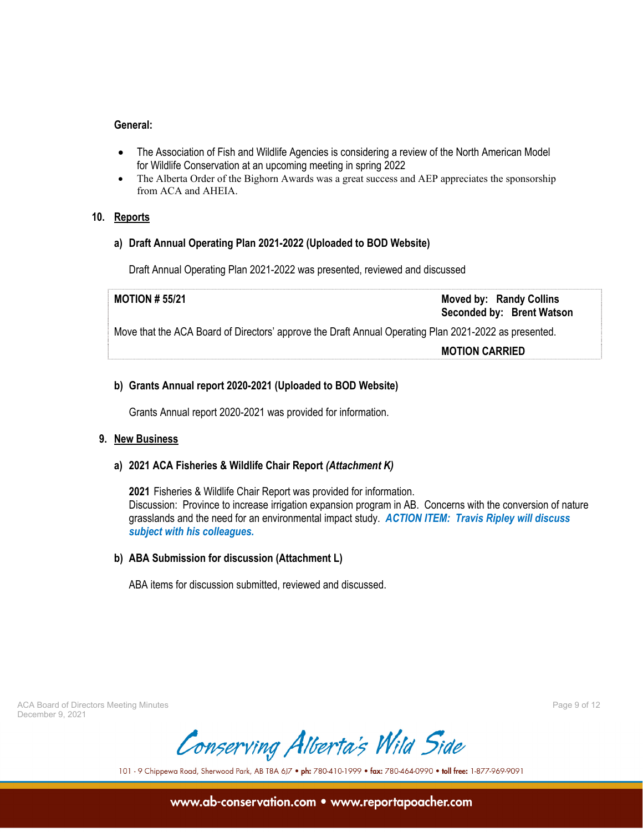#### **General:**

- The Association of Fish and Wildlife Agencies is considering a review of the North American Model for Wildlife Conservation at an upcoming meeting in spring 2022
- The Alberta Order of the Bighorn Awards was a great success and AEP appreciates the sponsorship from ACA and AHEIA.

## **10. Reports**

#### **a) Draft Annual Operating Plan 2021-2022 (Uploaded to BOD Website)**

Draft Annual Operating Plan 2021-2022 was presented, reviewed and discussed

**MOTION # 55/21 Moved by: Randy Collins Seconded by: Brent Watson**  Move that the ACA Board of Directors' approve the Draft Annual Operating Plan 2021-2022 as presented.  **MOTION CARRIED**

## **b) Grants Annual report 2020-2021 (Uploaded to BOD Website)**

Grants Annual report 2020-2021 was provided for information.

## **9. New Business**

## **a) 2021 ACA Fisheries & Wildlife Chair Report** *(Attachment K)*

**2021** Fisheries & Wildlife Chair Report was provided for information. Discussion: Province to increase irrigation expansion program in AB. Concerns with the conversion of nature grasslands and the need for an environmental impact study. *ACTION ITEM: Travis Ripley will discuss subject with his colleagues.* 

## **b) ABA Submission for discussion (Attachment L)**

ABA items for discussion submitted, reviewed and discussed.

ACA Board of Directors Meeting Minutes Page 9 of 12 December 9, 2021

Conserving Alberta's Wild Side

101 - 9 Chippewa Road, Sherwood Park, AB T8A 6J7 . ph: 780-410-1999 . fax: 780-464-0990 . toll free: 1-877-969-9091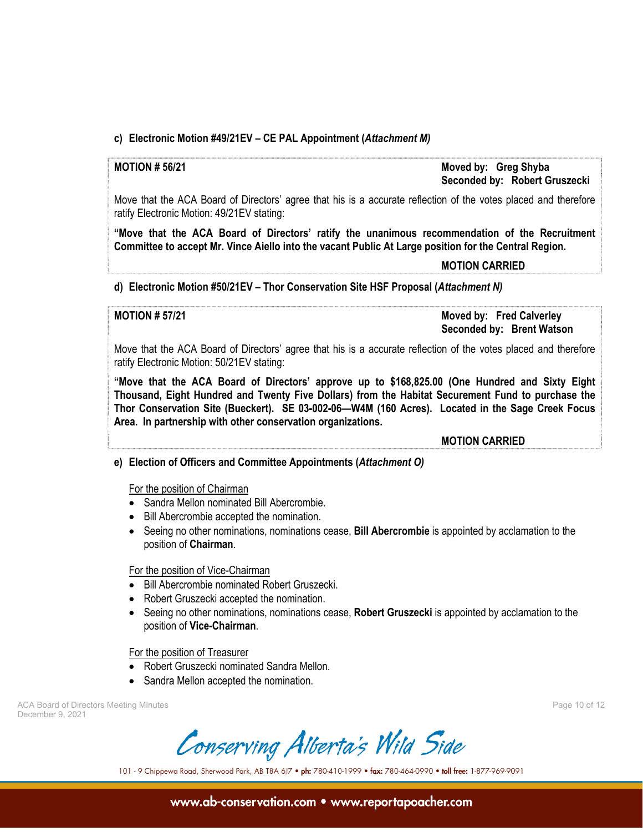## **c) Electronic Motion #49/21EV – CE PAL Appointment (***Attachment M)*

**MOTION # 56/21 Moved by: Greg Shyba Seconded by: Robert Gruszecki** 

Move that the ACA Board of Directors' agree that his is a accurate reflection of the votes placed and therefore ratify Electronic Motion: 49/21EV stating:

**"Move that the ACA Board of Directors' ratify the unanimous recommendation of the Recruitment Committee to accept Mr. Vince Aiello into the vacant Public At Large position for the Central Region.** 

#### **MOTION CARRIED**

## **d) Electronic Motion #50/21EV – Thor Conservation Site HSF Proposal (***Attachment N)*

**MOTION # 57/21 Moved by: Fred Calverley Seconded by: Brent Watson** 

Move that the ACA Board of Directors' agree that his is a accurate reflection of the votes placed and therefore ratify Electronic Motion: 50/21EV stating:

**"Move that the ACA Board of Directors' approve up to \$168,825.00 (One Hundred and Sixty Eight Thousand, Eight Hundred and Twenty Five Dollars) from the Habitat Securement Fund to purchase the Thor Conservation Site (Bueckert). SE 03-002-06—W4M (160 Acres). Located in the Sage Creek Focus Area. In partnership with other conservation organizations.** 

 **MOTION CARRIED**

## **e) Election of Officers and Committee Appointments (***Attachment O)*

For the position of Chairman

- Sandra Mellon nominated Bill Abercrombie.
- Bill Abercrombie accepted the nomination.
- Seeing no other nominations, nominations cease, **Bill Abercrombie** is appointed by acclamation to the position of **Chairman**.

#### For the position of Vice-Chairman

- Bill Abercrombie nominated Robert Gruszecki.
- Robert Gruszecki accepted the nomination.
- Seeing no other nominations, nominations cease, **Robert Gruszecki** is appointed by acclamation to the position of **Vice-Chairman**.

For the position of Treasurer

- Robert Gruszecki nominated Sandra Mellon.
- Sandra Mellon accepted the nomination.

ACA Board of Directors Meeting Minutes **Page 10** of 12 December 9, 2021

Conserving Alberta's Wild Side

101 - 9 Chippewa Road, Sherwood Park, AB T8A 6J7 . ph: 780-410-1999 . fax: 780-464-0990 . toll free: 1-877-969-9091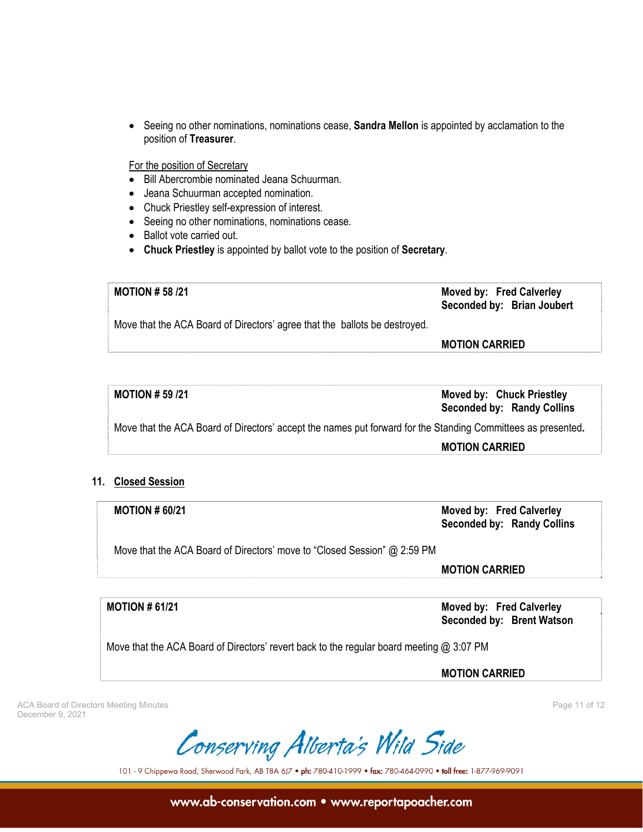Seeing no other nominations, nominations cease, **Sandra Mellon** is appointed by acclamation to the position of **Treasurer**.

For the position of Secretary

- Bill Abercrombie nominated Jeana Schuurman.
- Jeana Schuurman accepted nomination.
- Chuck Priestley self-expression of interest.
- Seeing no other nominations, nominations cease.
- Ballot vote carried out.
- **Chuck Priestley** is appointed by ballot vote to the position of **Secretary**.

**MOTION # 58 /21 Moved by: Fred Calverley Seconded by: Brian Joubert**  Move that the ACA Board of Directors' agree that the ballots be destroyed.  **MOTION CARRIED**

| MOTION $#$ 59 /21                                                                                            | <b>Moved by: Chuck Priestley</b><br><b>Seconded by: Randy Collins</b> |
|--------------------------------------------------------------------------------------------------------------|-----------------------------------------------------------------------|
| Move that the ACA Board of Directors' accept the names put forward for the Standing Committees as presented. |                                                                       |
|                                                                                                              | <b>MOTION CARRIED</b>                                                 |

## **11. Closed Session**

**MOTION # 60/21 Moved by: Fred Calverley Seconded by: Randy Collins** 

Move that the ACA Board of Directors' move to "Closed Session" @ 2:59 PM

 **MOTION CARRIED**

**MOTION # 61/21 Moved by: Fred Calverley Seconded by: Brent Watson** 

Move that the ACA Board of Directors' revert back to the regular board meeting @ 3:07 PM

 **MOTION CARRIED** 

ACA Board of Directors Meeting Minutes **Page 11 of 12** and the United States Page 11 of 12 December 9, 2021

Conserving Alberta's Wild Side

101 - 9 Chippewa Road, Sherwood Park, AB T8A 6J7 . ph: 780-410-1999 . fax: 780-464-0990 . toll free: 1-877-969-9091